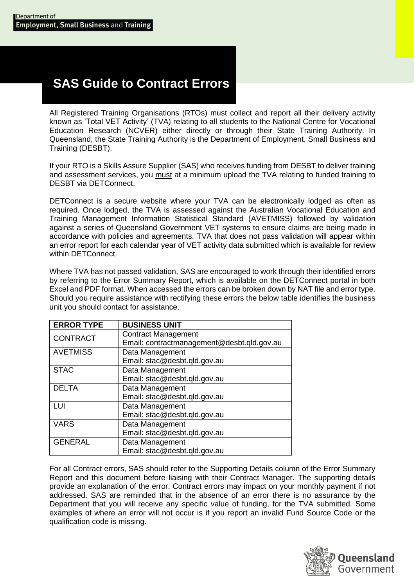# **SAS Guide to Contract Errors**

All Registered Training Organisations (RTOs) must collect and report all their delivery activity known as 'Total VET Activity' (TVA) relating to all students to the National Centre for Vocational Education Research (NCVER) either directly or through their State Training Authority. In Queensland, the State Training Authority is the Department of Employment, Small Business and Training (DESBT).

If your RTO is a Skills Assure Supplier (SAS) who receives funding from DESBT to deliver training and assessment services, you must at a minimum upload the TVA relating to funded training to DESBT via DETConnect.

DETConnect is a secure website where your TVA can be electronically lodged as often as required. Once lodged, the TVA is assessed against the Australian Vocational Education and Training Management Information Statistical Standard (AVETMISS) followed by validation against a series of Queensland Government VET systems to ensure claims are being made in accordance with policies and agreements. TVA that does not pass validation will appear within an error report for each calendar year of VET activity data submitted which is available for review within DETConnect.

Where TVA has not passed validation, SAS are encouraged to work through their identified errors by referring to the Error Summary Report, which is available on the DETConnect portal in both Excel and PDF format. When accessed the errors can be broken down by NAT file and error type. Should you require assistance with rectifying these errors the below table identifies the business unit you should contact for assistance.

| <b>ERROR TYPE</b> | <b>BUSINESS UNIT</b>                       |
|-------------------|--------------------------------------------|
| <b>CONTRACT</b>   | <b>Contract Management</b>                 |
|                   | Email: contractmanagement@desbt.qld.gov.au |
| <b>AVETMISS</b>   | Data Management                            |
|                   | Email: stac@desbt.qld.gov.au               |
| <b>STAC</b>       | Data Management                            |
|                   | Email: stac@desbt.qld.gov.au               |
| <b>DELTA</b>      | Data Management                            |
|                   | Email: stac@desbt.qld.gov.au               |
| LUI               | Data Management                            |
|                   | Email: stac@desbt.qld.gov.au               |
| <b>VARS</b>       | Data Management                            |
|                   | Email: stac@desbt.qld.gov.au               |
| <b>GENERAL</b>    | Data Management                            |
|                   | Email: stac@desbt.qld.gov.au               |

For all Contract errors, SAS should refer to the Supporting Details column of the Error Summary Report and this document before liaising with their Contract Manager. The supporting details provide an explanation of the error. Contract errors may impact on your monthly payment if not addressed. SAS are reminded that in the absence of an error there is no assurance by the Department that you will receive any specific value of funding, for the TVA submitted. Some examples of where an error will not occur is if you report an invalid Fund Source Code or the qualification code is missing.

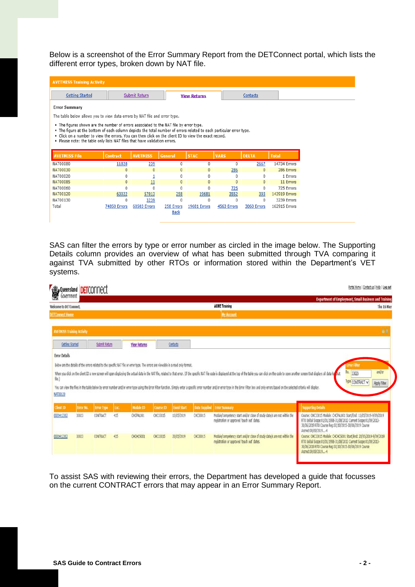Below is a screenshot of the Error Summary Report from the DETConnect portal, which lists the different error types, broken down by NAT file.

| <b>AVETMISS Training Activity</b>                                                                                                                                                                                                                                                                                                                                                                    |                 |                 |                           |              |              |              |               |  |
|------------------------------------------------------------------------------------------------------------------------------------------------------------------------------------------------------------------------------------------------------------------------------------------------------------------------------------------------------------------------------------------------------|-----------------|-----------------|---------------------------|--------------|--------------|--------------|---------------|--|
| <b>Getting Started</b>                                                                                                                                                                                                                                                                                                                                                                               |                 | <b>Contacts</b> |                           |              |              |              |               |  |
| <b>Error Summary</b>                                                                                                                                                                                                                                                                                                                                                                                 |                 |                 |                           |              |              |              |               |  |
| The table below allows you to view data errors by NAT file and error type.                                                                                                                                                                                                                                                                                                                           |                 |                 |                           |              |              |              |               |  |
| • The figures shown are the number of errors associated to the NAT file by error type.<br>. The figure at the bottom of each column depicts the total number of errors related to each particular error type.<br>. Click on a number to view the errors. You can then click on the client ID to view the exact record.<br>. Please note: the table only lists NAT files that have validation errors. |                 |                 |                           |              |              |              |               |  |
| <b>AVETMISS File</b>                                                                                                                                                                                                                                                                                                                                                                                 | <b>Contract</b> | <b>AVETMISS</b> | General                   | <b>STAC</b>  | <b>VARS</b>  | <b>DELTA</b> | <b>Total</b>  |  |
| NAT00080                                                                                                                                                                                                                                                                                                                                                                                             | 11828           | 239             | 0                         | 0            | 0            | 2667         | 14734 Errors  |  |
| <b>NAT00030</b>                                                                                                                                                                                                                                                                                                                                                                                      |                 |                 |                           |              |              |              |               |  |
|                                                                                                                                                                                                                                                                                                                                                                                                      | 0               | $\mathbf{0}$    | $\mathbf{0}$              | 0            | 286          | $\mathbf{0}$ | 286 Errors    |  |
|                                                                                                                                                                                                                                                                                                                                                                                                      | 0               |                 | 0                         | 0            | $\Omega$     | 0            | 1 Errors      |  |
| NAT00020<br><b>NAT00085</b>                                                                                                                                                                                                                                                                                                                                                                          | $\mathbf{0}$    | 11              | $\mathbf{0}$              | $\mathbf{0}$ | $\mathbf{0}$ | $\mathbf{0}$ | 11 Errors     |  |
|                                                                                                                                                                                                                                                                                                                                                                                                      | 0               | n               | $\mathbf{0}$              | 0            | 725          | $\mathbf{0}$ | 725 Errors    |  |
| NAT00060<br>NAT00120                                                                                                                                                                                                                                                                                                                                                                                 | 63022           | 57013           | 258                       | 19681        | 3552         | 393          | 143919 Errors |  |
| NAT00130                                                                                                                                                                                                                                                                                                                                                                                             | n               | 3239            | $\Omega$                  | Ō            | $\Omega$     | 0            | 3239 Errors   |  |
| Total                                                                                                                                                                                                                                                                                                                                                                                                | 74850 Errors    | 60503 Errors    | 258 Errors<br><b>Back</b> | 19681 Errors | 4563 Errors  | 3060 Errors  | 162915 Errors |  |

SAS can filter the errors by type or error number as circled in the image below. The Supporting Details column provides an overview of what has been submitted through TVA comparing it against TVA submitted by other RTOs or information stored within the Department's VET systems.

| Queensland DETCONNect             |           |                   |        |                     |           |                    |          |                                                                                                                                                                                                                                                                                                                                                                                                                                                                  | Portal Home   Contact us   Help   Log out                                                                                                                                                                                |
|-----------------------------------|-----------|-------------------|--------|---------------------|-----------|--------------------|----------|------------------------------------------------------------------------------------------------------------------------------------------------------------------------------------------------------------------------------------------------------------------------------------------------------------------------------------------------------------------------------------------------------------------------------------------------------------------|--------------------------------------------------------------------------------------------------------------------------------------------------------------------------------------------------------------------------|
|                                   |           |                   |        |                     |           |                    |          |                                                                                                                                                                                                                                                                                                                                                                                                                                                                  | Department of Employment, Small Business and Training                                                                                                                                                                    |
| <b>Welcome to DETConnect.</b>     |           |                   |        |                     |           |                    |          | <b>ACME Training</b>                                                                                                                                                                                                                                                                                                                                                                                                                                             | Thu 16 May                                                                                                                                                                                                               |
| <b>DETConnect Home</b>            |           |                   |        |                     |           |                    |          | <b>My Account</b>                                                                                                                                                                                                                                                                                                                                                                                                                                                |                                                                                                                                                                                                                          |
| <b>AVETMISS Training Activity</b> |           |                   |        |                     |           |                    |          |                                                                                                                                                                                                                                                                                                                                                                                                                                                                  | m                                                                                                                                                                                                                        |
| <b>Getting Started</b>            |           | Submit Return     |        | <b>View Returns</b> |           | Contacts           |          |                                                                                                                                                                                                                                                                                                                                                                                                                                                                  |                                                                                                                                                                                                                          |
| file.)<br>NAT00120                |           |                   |        |                     |           |                    |          | When you dick on the dient ID a new screen will open displaying the actual data in the NAT file, related to that error. (If the specific NAT file code is displayed at the top of the table you can dick on the code to open a<br>You can view the files in the table below by error number and/or error type using the Error Filter function. Simply enter a specific error number and/or error type in the Error Filter box and only errors based on the selec | and/or<br>No.<br>33023<br>Type CONTRACT V<br>Apply Filter                                                                                                                                                                |
| <b>Client ID</b>                  | Error No. | <b>Error Type</b> | I Loc. | Module ID           | Course ID | <b>Enrol Start</b> |          | <b>Data Supplied Error Summary</b>                                                                                                                                                                                                                                                                                                                                                                                                                               | Supporting Details                                                                                                                                                                                                       |
| 0020412302                        | 33023     | CONTRACT          | 415    | CHCPAL001           | CHC33015  | 13/05/2019         | CHC33015 | Module/competency start and/or close of study date/s are not within the<br>registration or approved 'teach out' dates.                                                                                                                                                                                                                                                                                                                                           | Course: CHC33015 Module: CHCPAL001 Start/End: 13/05/2019-9/09/2019<br>RTO Initial Scope:01/01/1998-31/08/2013 Current Scope:01/09/2013-<br>30/06/2019 RTO Course Reg:02/10/2015-30/06/2019 Course<br>Accred:09/09/2019-4 |
| 0020412302                        | 33023     | CONTRACT          | 415    | CHCHCS001           | CHC33015  | 20/05/2019         | CHC33015 | Module/competency start and/or close of study date/s are not within the<br>registration or approved 'teach out' dates.                                                                                                                                                                                                                                                                                                                                           | Course: CHC33015 Module: CHCHCS001 Start/End: 20/05/2019-9/09/2019<br>RTO Initial Scope:01/01/1998-31/08/2013 Current Scope:01/09/2013-<br>30/06/2019 RTO Course Reg:02/10/2015-30/06/2019 Course<br>Accred:09/09/2019-4 |

To assist SAS with reviewing their errors, the Department has developed a guide that focusses on the current CONTRACT errors that may appear in an Error Summary Report.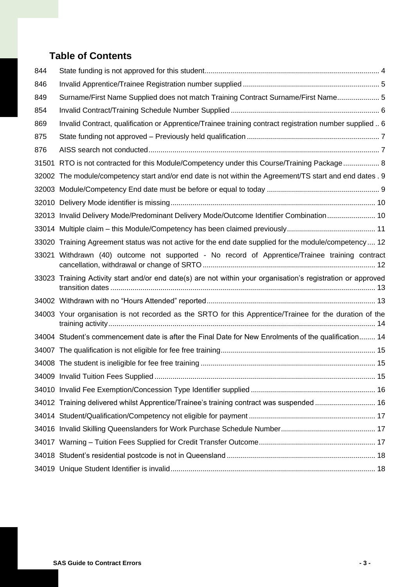### **Table of Contents**

| 844   |                                                                                                              |  |
|-------|--------------------------------------------------------------------------------------------------------------|--|
| 846   |                                                                                                              |  |
| 849   | Surname/First Name Supplied does not match Training Contract Surname/First Name 5                            |  |
| 854   |                                                                                                              |  |
| 869   | Invalid Contract, qualification or Apprentice/Trainee training contract registration number supplied  6      |  |
| 875   |                                                                                                              |  |
| 876   |                                                                                                              |  |
| 31501 | RTO is not contracted for this Module/Competency under this Course/Training Package 8                        |  |
|       | 32002 The module/competency start and/or end date is not within the Agreement/TS start and end dates . 9     |  |
|       |                                                                                                              |  |
|       |                                                                                                              |  |
|       | 32013 Invalid Delivery Mode/Predominant Delivery Mode/Outcome Identifier Combination 10                      |  |
|       |                                                                                                              |  |
|       | 33020 Training Agreement status was not active for the end date supplied for the module/competency 12        |  |
| 33021 | Withdrawn (40) outcome not supported - No record of Apprentice/Trainee training contract                     |  |
|       | 33023 Training Activity start and/or end date(s) are not within your organisation's registration or approved |  |
|       |                                                                                                              |  |
|       | 34003 Your organisation is not recorded as the SRTO for this Apprentice/Trainee for the duration of the      |  |
|       | 34004 Student's commencement date is after the Final Date for New Enrolments of the qualification 14         |  |
|       |                                                                                                              |  |
|       |                                                                                                              |  |
|       |                                                                                                              |  |
|       |                                                                                                              |  |
|       | 34012 Training delivered whilst Apprentice/Trainee's training contract was suspended 16                      |  |
|       |                                                                                                              |  |
|       |                                                                                                              |  |
|       |                                                                                                              |  |
|       |                                                                                                              |  |
|       |                                                                                                              |  |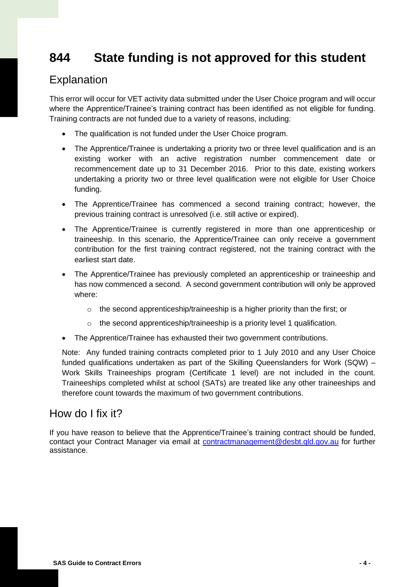# <span id="page-3-0"></span>**844 State funding is not approved for this student**

#### Explanation

This error will occur for VET activity data submitted under the User Choice program and will occur where the Apprentice/Trainee's training contract has been identified as not eligible for funding. Training contracts are not funded due to a variety of reasons, including:

- The qualification is not funded under the User Choice program.
- The Apprentice/Trainee is undertaking a priority two or three level qualification and is an existing worker with an active registration number commencement date or recommencement date up to 31 December 2016. Prior to this date, existing workers undertaking a priority two or three level qualification were not eligible for User Choice funding.
- The Apprentice/Trainee has commenced a second training contract; however, the previous training contract is unresolved (i.e. still active or expired).
- The Apprentice/Trainee is currently registered in more than one apprenticeship or traineeship. In this scenario, the Apprentice/Trainee can only receive a government contribution for the first training contract registered, not the training contract with the earliest start date.
- The Apprentice/Trainee has previously completed an apprenticeship or traineeship and has now commenced a second. A second government contribution will only be approved where:
	- $\circ$  the second apprenticeship/traineeship is a higher priority than the first; or
	- o the second apprenticeship/traineeship is a priority level 1 qualification.
- The Apprentice/Trainee has exhausted their two government contributions.

Note: Any funded training contracts completed prior to 1 July 2010 and any User Choice funded qualifications undertaken as part of the Skilling Queenslanders for Work (SQW) – Work Skills Traineeships program (Certificate 1 level) are not included in the count. Traineeships completed whilst at school (SATs) are treated like any other traineeships and therefore count towards the maximum of two government contributions.

#### How do I fix it?

If you have reason to believe that the Apprentice/Trainee's training contract should be funded, contact your Contract Manager via email at **contractmanagement@desbt.qld.gov.au** for further assistance.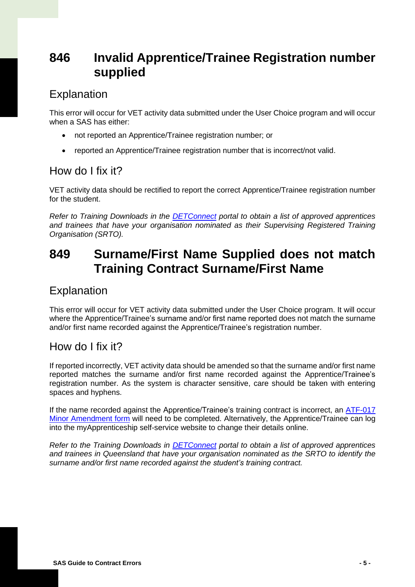# <span id="page-4-0"></span>**846 Invalid Apprentice/Trainee Registration number supplied**

### Explanation

This error will occur for VET activity data submitted under the User Choice program and will occur when a SAS has either:

- not reported an Apprentice/Trainee registration number; or
- reported an Apprentice/Trainee registration number that is incorrect/not valid.

#### How do I fix it?

VET activity data should be rectified to report the correct Apprentice/Trainee registration number for the student.

*Refer to Training Downloads in the [DETConnect](https://www.detconnect.qld.gov.au/portal/appmanager/portal/default) portal to obtain a list of approved apprentices and trainees that have your organisation nominated as their Supervising Registered Training Organisation (SRTO).* 

# <span id="page-4-1"></span>**849 Surname/First Name Supplied does not match Training Contract Surname/First Name**

### Explanation

This error will occur for VET activity data submitted under the User Choice program. It will occur where the Apprentice/Trainee's surname and/or first name reported does not match the surname and/or first name recorded against the Apprentice/Trainee's registration number.

### How do I fix it?

If reported incorrectly, VET activity data should be amended so that the surname and/or first name reported matches the surname and/or first name recorded against the Apprentice/Trainee's registration number. As the system is character sensitive, care should be taken with entering spaces and hyphens.

If the name recorded against the Apprentice/Trainee's training contract is incorrect, an [ATF-017](https://desbt.qld.gov.au/__data/assets/pdf_file/0028/7966/minor-amendment.pdf)  [Minor Amendment form](https://desbt.qld.gov.au/__data/assets/pdf_file/0028/7966/minor-amendment.pdf) will need to be completed. Alternatively, the Apprentice/Trainee can log into the myApprenticeship self-service website to change their details online.

*Refer to the Training Downloads in [DETConnect](https://www.detconnect.qld.gov.au/portal/appmanager/portal/default) portal to obtain a list of approved apprentices and trainees in Queensland that have your organisation nominated as the SRTO to identify the surname and/or first name recorded against the student's training contract.*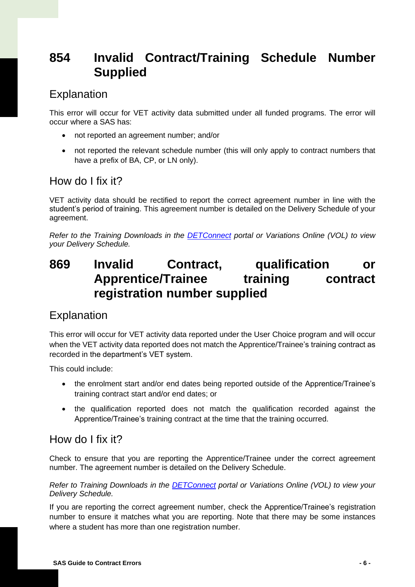# <span id="page-5-0"></span>**854 Invalid Contract/Training Schedule Number Supplied**

### Explanation

This error will occur for VET activity data submitted under all funded programs. The error will occur where a SAS has:

- not reported an agreement number; and/or
- not reported the relevant schedule number (this will only apply to contract numbers that have a prefix of BA, CP, or LN only).

#### How do I fix it?

VET activity data should be rectified to report the correct agreement number in line with the student's period of training. This agreement number is detailed on the Delivery Schedule of your agreement.

*Refer to the Training Downloads in the [DETConnect](https://www.detconnect.qld.gov.au/portal/appmanager/portal/default) portal or Variations Online (VOL) to view your Delivery Schedule.*

# <span id="page-5-1"></span>**869 Invalid Contract, qualification or Apprentice/Trainee training contract registration number supplied**

### Explanation

This error will occur for VET activity data reported under the User Choice program and will occur when the VET activity data reported does not match the Apprentice/Trainee's training contract as recorded in the department's VET system.

This could include:

- the enrolment start and/or end dates being reported outside of the Apprentice/Trainee's training contract start and/or end dates; or
- the qualification reported does not match the qualification recorded against the Apprentice/Trainee's training contract at the time that the training occurred.

#### How do I fix it?

Check to ensure that you are reporting the Apprentice/Trainee under the correct agreement number. The agreement number is detailed on the Delivery Schedule.

*Refer to Training Downloads in the [DETConnect](https://www.detconnect.qld.gov.au/portal/appmanager/portal/default) portal or Variations Online (VOL) to view your Delivery Schedule.*

If you are reporting the correct agreement number, check the Apprentice/Trainee's registration number to ensure it matches what you are reporting. Note that there may be some instances where a student has more than one registration number.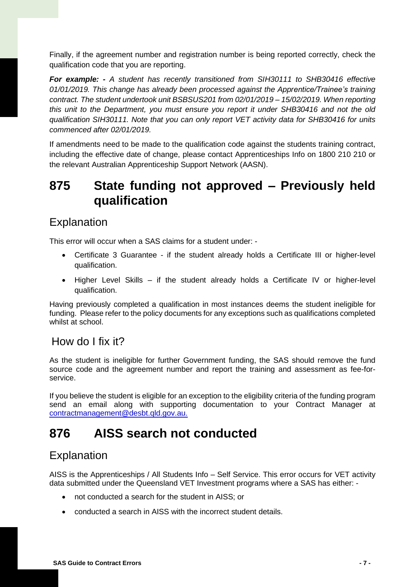Finally, if the agreement number and registration number is being reported correctly, check the qualification code that you are reporting.

*For example: - A student has recently transitioned from SIH30111 to SHB30416 effective 01/01/2019. This change has already been processed against the Apprentice/Trainee's training contract. The student undertook unit BSBSUS201 from 02/01/2019 – 15/02/2019. When reporting this unit to the Department, you must ensure you report it under SHB30416 and not the old qualification SIH30111. Note that you can only report VET activity data for SHB30416 for units commenced after 02/01/2019.*

If amendments need to be made to the qualification code against the students training contract, including the effective date of change, please contact Apprenticeships Info on 1800 210 210 or the relevant Australian Apprenticeship Support Network (AASN).

# <span id="page-6-0"></span>**875 State funding not approved – Previously held qualification**

#### Explanation

This error will occur when a SAS claims for a student under: -

- Certificate 3 Guarantee if the student already holds a Certificate III or higher-level qualification.
- Higher Level Skills if the student already holds a Certificate IV or higher-level qualification.

Having previously completed a qualification in most instances deems the student ineligible for funding. Please refer to the policy documents for any exceptions such as qualifications completed whilst at school.

#### How do I fix it?

As the student is ineligible for further Government funding, the SAS should remove the fund source code and the agreement number and report the training and assessment as fee-forservice.

If you believe the student is eligible for an exception to the eligibility criteria of the funding program send an email along with supporting documentation to your Contract Manager at [contractmanagement@desbt.qld.gov.au.](mailto:contractmanagement@desbt.qld.gov.au)

# <span id="page-6-1"></span>**876 AISS search not conducted**

### Explanation

AISS is the Apprenticeships / All Students Info – Self Service. This error occurs for VET activity data submitted under the Queensland VET Investment programs where a SAS has either: -

- not conducted a search for the student in AISS; or
- conducted a search in AISS with the incorrect student details.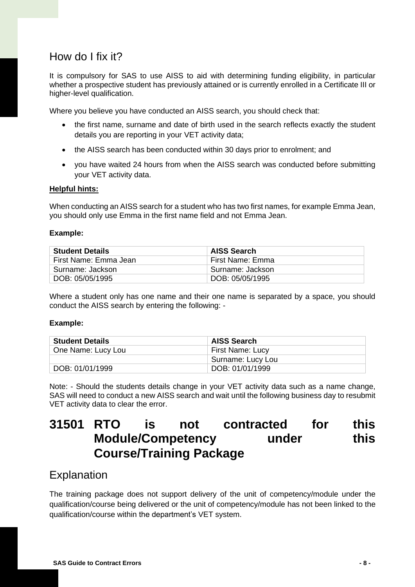### How do I fix it?

It is compulsory for SAS to use AISS to aid with determining funding eligibility, in particular whether a prospective student has previously attained or is currently enrolled in a Certificate III or higher-level qualification.

Where you believe you have conducted an AISS search, you should check that:

- the first name, surname and date of birth used in the search reflects exactly the student details you are reporting in your VET activity data;
- the AISS search has been conducted within 30 days prior to enrolment; and
- you have waited 24 hours from when the AISS search was conducted before submitting your VET activity data.

#### **Helpful hints:**

When conducting an AISS search for a student who has two first names, for example Emma Jean, you should only use Emma in the first name field and not Emma Jean.

#### **Example:**

| <b>Student Details</b> | AISS Search      |
|------------------------|------------------|
| First Name: Emma Jean  | First Name: Emma |
| Surname: Jackson       | Surname: Jackson |
| DOB: 05/05/1995        | DOB: 05/05/1995  |

Where a student only has one name and their one name is separated by a space, you should conduct the AISS search by entering the following: -

#### **Example:**

| <b>Student Details</b> | AISS Search       |
|------------------------|-------------------|
| One Name: Lucy Lou     | First Name: Lucy  |
|                        | Surname: Lucy Lou |
| DOB: 01/01/1999        | DOB: 01/01/1999   |

Note: - Should the students details change in your VET activity data such as a name change, SAS will need to conduct a new AISS search and wait until the following business day to resubmit VET activity data to clear the error.

### <span id="page-7-0"></span>**31501 RTO is not contracted for this Module/Competency** under this **Course/Training Package**

#### Explanation

The training package does not support delivery of the unit of competency/module under the qualification/course being delivered or the unit of competency/module has not been linked to the qualification/course within the department's VET system.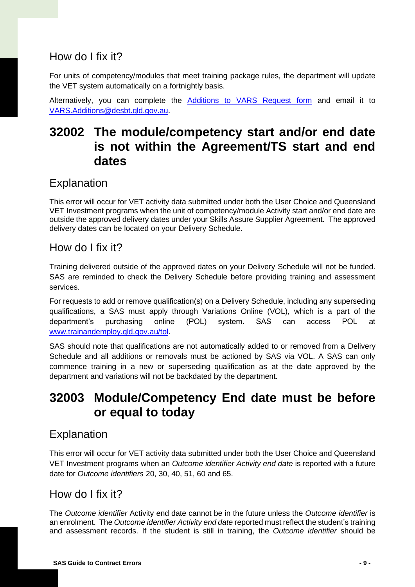### How do I fix it?

For units of competency/modules that meet training package rules, the department will update the VET system automatically on a fortnightly basis.

Alternatively, you can complete the **[Additions to VARS Request form](https://desbt.qld.gov.au/__data/assets/excel_doc/0013/8311/addition-to-vars-request-form.xlsx)** and email it to [VARS.Additions@desbt.qld.gov.au.](mailto:VARS.Additions@desbt.qld.gov.au)

# <span id="page-8-0"></span>**32002 The module/competency start and/or end date is not within the Agreement/TS start and end dates**

### Explanation

This error will occur for VET activity data submitted under both the User Choice and Queensland VET Investment programs when the unit of competency/module Activity start and/or end date are outside the approved delivery dates under your Skills Assure Supplier Agreement. The approved delivery dates can be located on your Delivery Schedule.

#### How do I fix it?

Training delivered outside of the approved dates on your Delivery Schedule will not be funded. SAS are reminded to check the Delivery Schedule before providing training and assessment services.

For requests to add or remove qualification(s) on a Delivery Schedule, including any superseding qualifications, a SAS must apply through Variations Online (VOL), which is a part of the department's purchasing online (POL) system. SAS can access POL at [www.trainandemploy.qld.gov.au/tol.](https://dsitiaqld.sharepoint.com/sites/DESBT/investment/contract-management/Shared%20Documents/Strategic%20Monitoring%20and%20Compliance%20Model/www.trainandemploy.qld.gov.au/tol)

SAS should note that qualifications are not automatically added to or removed from a Delivery Schedule and all additions or removals must be actioned by SAS via VOL. A SAS can only commence training in a new or superseding qualification as at the date approved by the department and variations will not be backdated by the department.

# <span id="page-8-1"></span>**32003 Module/Competency End date must be before or equal to today**

### Explanation

This error will occur for VET activity data submitted under both the User Choice and Queensland VET Investment programs when an *Outcome identifier Activity end date* is reported with a future date for *Outcome identifiers* 20, 30, 40, 51, 60 and 65.

#### How do I fix it?

The *Outcome identifier* Activity end date cannot be in the future unless the *Outcome identifier* is an enrolment. The *Outcome identifier Activity end date* reported must reflect the student's training and assessment records. If the student is still in training, the *Outcome identifier* should be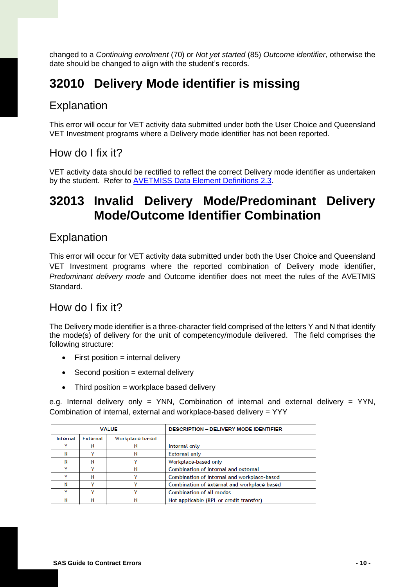changed to a *Continuing enrolment* (70) or *Not yet started* (85) *Outcome identifier*, otherwise the date should be changed to align with the student's records.

# <span id="page-9-0"></span>**32010 Delivery Mode identifier is missing**

#### Explanation

This error will occur for VET activity data submitted under both the User Choice and Queensland VET Investment programs where a Delivery mode identifier has not been reported.

#### How do I fix it?

VET activity data should be rectified to reflect the correct Delivery mode identifier as undertaken by the student. Refer to **AVETMISS Data Element Definitions 2.3**.

# <span id="page-9-1"></span>**32013 Invalid Delivery Mode/Predominant Delivery Mode/Outcome Identifier Combination**

#### Explanation

This error will occur for VET activity data submitted under both the User Choice and Queensland VET Investment programs where the reported combination of Delivery mode identifier, *Predominant delivery mode* and Outcome identifier does not meet the rules of the AVETMIS Standard.

#### How do I fix it?

The Delivery mode identifier is a three-character field comprised of the letters Y and N that identify the mode(s) of delivery for the unit of competency/module delivered. The field comprises the following structure:

- $\bullet$  First position = internal delivery
- Second position = external delivery
- $\bullet$  Third position = workplace based delivery

e.g. Internal delivery only = YNN, Combination of internal and external delivery = YYN, Combination of internal, external and workplace-based delivery = YYY

| <b>VALUE</b> |                 |                 | <b>DESCRIPTION - DELIVERY MODE IDENTIFIER</b> |
|--------------|-----------------|-----------------|-----------------------------------------------|
| Internal     | <b>External</b> | Workplace-based |                                               |
|              |                 |                 | Internal only                                 |
| N            |                 |                 | <b>External only</b>                          |
| Ν            |                 |                 | Workplace-based only                          |
|              |                 |                 | Combination of internal and external          |
|              |                 |                 | Combination of internal and workplace-based   |
| Ν            |                 |                 | Combination of external and workplace-based   |
|              |                 |                 | <b>Combination of all modes</b>               |
|              |                 |                 | Not applicable (RPL or credit transfer)       |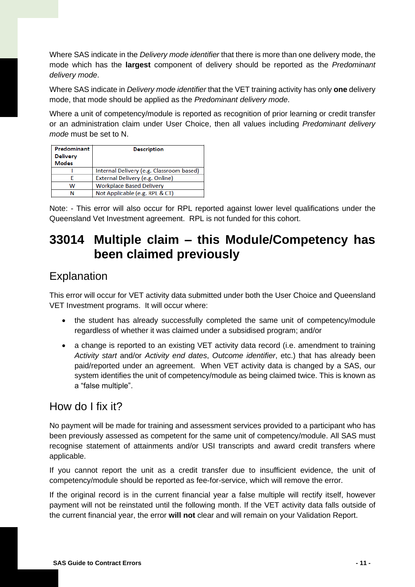Where SAS indicate in the *Delivery mode identifier* that there is more than one delivery mode, the mode which has the **largest** component of delivery should be reported as the *Predominant delivery mode*.

Where SAS indicate in *Delivery mode identifier* that the VET training activity has only **one** delivery mode, that mode should be applied as the *Predominant delivery mode*.

Where a unit of competency/module is reported as recognition of prior learning or credit transfer or an administration claim under User Choice, then all values including *Predominant delivery mode* must be set to N.

| Predominant     | <b>Description</b>                       |
|-----------------|------------------------------------------|
| <b>Delivery</b> |                                          |
| <b>Modes</b>    |                                          |
|                 | Internal Delivery (e.g. Classroom based) |
|                 | External Delivery (e.g. Online)          |
| w               | <b>Workplace Based Delivery</b>          |
|                 | Not Applicable (e.g. RPL & CT)           |

Note: - This error will also occur for RPL reported against lower level qualifications under the Queensland Vet Investment agreement. RPL is not funded for this cohort.

# <span id="page-10-0"></span>**33014 Multiple claim – this Module/Competency has been claimed previously**

### Explanation

This error will occur for VET activity data submitted under both the User Choice and Queensland VET Investment programs. It will occur where:

- the student has already successfully completed the same unit of competency/module regardless of whether it was claimed under a subsidised program; and/or
- a change is reported to an existing VET activity data record (i.e. amendment to training *Activity start* and/or *Activity end dates*, *Outcome identifier*, etc.) that has already been paid/reported under an agreement. When VET activity data is changed by a SAS, our system identifies the unit of competency/module as being claimed twice. This is known as a "false multiple".

### How do I fix it?

No payment will be made for training and assessment services provided to a participant who has been previously assessed as competent for the same unit of competency/module. All SAS must recognise statement of attainments and/or USI transcripts and award credit transfers where applicable.

If you cannot report the unit as a credit transfer due to insufficient evidence, the unit of competency/module should be reported as fee-for-service, which will remove the error.

If the original record is in the current financial year a false multiple will rectify itself, however payment will not be reinstated until the following month. If the VET activity data falls outside of the current financial year, the error **will not** clear and will remain on your Validation Report.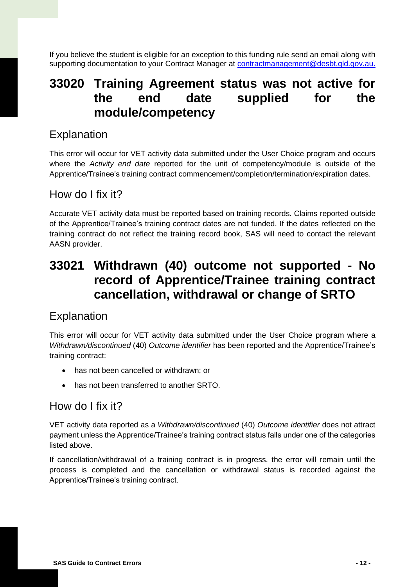If you believe the student is eligible for an exception to this funding rule send an email along with supporting documentation to your Contract Manager at **contractmanagement@desbt.qld.gov.au.** 

# <span id="page-11-0"></span>**33020 Training Agreement status was not active for the end date supplied for the module/competency**

#### Explanation

This error will occur for VET activity data submitted under the User Choice program and occurs where the *Activity end date* reported for the unit of competency/module is outside of the Apprentice/Trainee's training contract commencement/completion/termination/expiration dates.

#### How do I fix it?

Accurate VET activity data must be reported based on training records. Claims reported outside of the Apprentice/Trainee's training contract dates are not funded. If the dates reflected on the training contract do not reflect the training record book, SAS will need to contact the relevant AASN provider.

# <span id="page-11-1"></span>**33021 Withdrawn (40) outcome not supported - No record of Apprentice/Trainee training contract cancellation, withdrawal or change of SRTO**

#### Explanation

This error will occur for VET activity data submitted under the User Choice program where a *Withdrawn/discontinued* (40) *Outcome identifier* has been reported and the Apprentice/Trainee's training contract:

- has not been cancelled or withdrawn; or
- has not been transferred to another SRTO.

#### How do I fix it?

VET activity data reported as a *Withdrawn/discontinued* (40) *Outcome identifier* does not attract payment unless the Apprentice/Trainee's training contract status falls under one of the categories listed above.

If cancellation/withdrawal of a training contract is in progress, the error will remain until the process is completed and the cancellation or withdrawal status is recorded against the Apprentice/Trainee's training contract.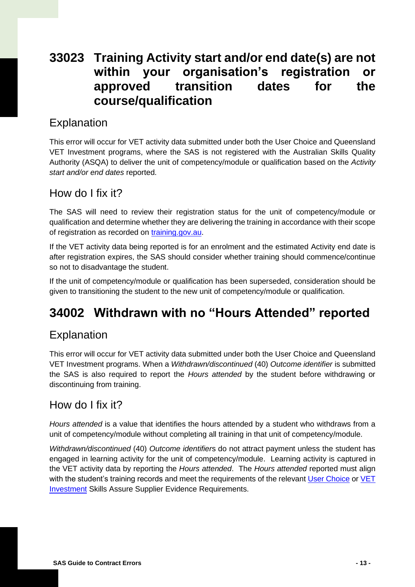# <span id="page-12-0"></span>**33023 Training Activity start and/or end date(s) are not within your organisation's registration or approved transition dates for the course/qualification**

### Explanation

This error will occur for VET activity data submitted under both the User Choice and Queensland VET Investment programs, where the SAS is not registered with the Australian Skills Quality Authority (ASQA) to deliver the unit of competency/module or qualification based on the *Activity start and/or end dates* reported.

#### How do I fix it?

The SAS will need to review their registration status for the unit of competency/module or qualification and determine whether they are delivering the training in accordance with their scope of registration as recorded on [training.gov.au.](https://training.gov.au/home/tga)

If the VET activity data being reported is for an enrolment and the estimated Activity end date is after registration expires, the SAS should consider whether training should commence/continue so not to disadvantage the student.

If the unit of competency/module or qualification has been superseded, consideration should be given to transitioning the student to the new unit of competency/module or qualification.

# <span id="page-12-1"></span>**34002 Withdrawn with no "Hours Attended" reported**

### Explanation

This error will occur for VET activity data submitted under both the User Choice and Queensland VET Investment programs. When a *Withdrawn/discontinued* (40) *Outcome identifier* is submitted the SAS is also required to report the *Hours attended* by the student before withdrawing or discontinuing from training.

### How do I fix it?

*Hours attended* is a value that identifies the hours attended by a student who withdraws from a unit of competency/module without completing all training in that unit of competency/module.

*Withdrawn/discontinued* (40) *Outcome identifier*s do not attract payment unless the student has engaged in learning activity for the unit of competency/module. Learning activity is captured in the VET activity data by reporting the *Hours attended*. The *Hours attended* reported must align with the student's training records and meet the requirements of the relevant [User Choice](https://desbt.qld.gov.au/__data/assets/pdf_file/0025/7774/srto-evidence-guide.pdf) or VET [Investment](https://desbt.qld.gov.au/__data/assets/pdf_file/0006/12012/sas-evidence-guide.pdf) Skills Assure Supplier Evidence Requirements.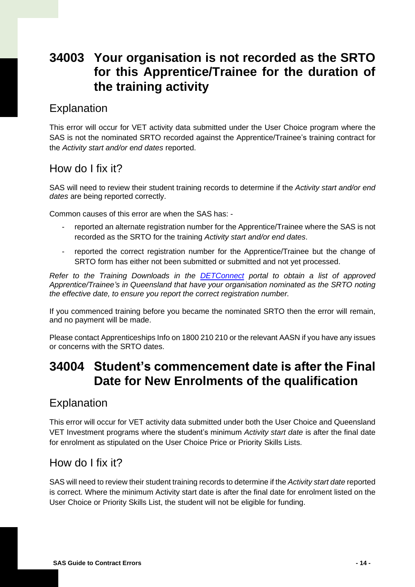# <span id="page-13-0"></span>**34003 Your organisation is not recorded as the SRTO for this Apprentice/Trainee for the duration of the training activity**

### Explanation

This error will occur for VET activity data submitted under the User Choice program where the SAS is not the nominated SRTO recorded against the Apprentice/Trainee's training contract for the *Activity start and/or end dates* reported.

### How do I fix it?

SAS will need to review their student training records to determine if the *Activity start and/or end dates* are being reported correctly.

Common causes of this error are when the SAS has: -

- reported an alternate registration number for the Apprentice/Trainee where the SAS is not recorded as the SRTO for the training *Activity start and/or end dates*.
- reported the correct registration number for the Apprentice/Trainee but the change of SRTO form has either not been submitted or submitted and not yet processed.

*Refer to the Training Downloads in the [DETConnect](https://www.detconnect.qld.gov.au/portal/appmanager/portal/default) portal to obtain a list of approved Apprentice/Trainee's in Queensland that have your organisation nominated as the SRTO noting the effective date, to ensure you report the correct registration number.*

If you commenced training before you became the nominated SRTO then the error will remain, and no payment will be made.

Please contact Apprenticeships Info on 1800 210 210 or the relevant AASN if you have any issues or concerns with the SRTO dates.

# <span id="page-13-1"></span>**34004 Student's commencement date is after the Final Date for New Enrolments of the qualification**

### Explanation

This error will occur for VET activity data submitted under both the User Choice and Queensland VET Investment programs where the student's minimum *Activity start date* is after the final date for enrolment as stipulated on the User Choice Price or Priority Skills Lists.

### How do I fix it?

SAS will need to review their student training records to determine if the *Activity start date* reported is correct. Where the minimum Activity start date is after the final date for enrolment listed on the User Choice or Priority Skills List, the student will not be eligible for funding.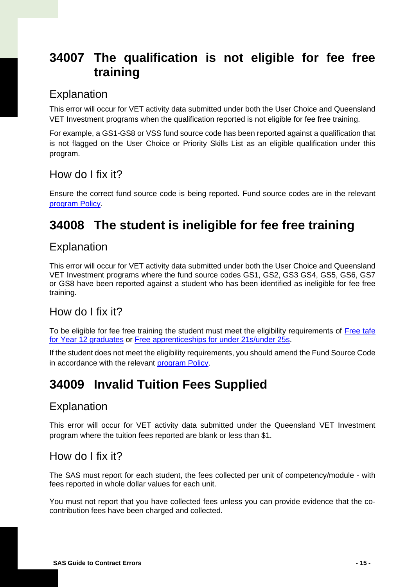# <span id="page-14-0"></span>**34007 The qualification is not eligible for fee free training**

### Explanation

This error will occur for VET activity data submitted under both the User Choice and Queensland VET Investment programs when the qualification reported is not eligible for fee free training.

For example, a GS1-GS8 or VSS fund source code has been reported against a qualification that is not flagged on the User Choice or Priority Skills List as an eligible qualification under this program.

#### How do I fix it?

Ensure the correct fund source code is being reported. Fund source codes are in the relevant [program](https://desbt.qld.gov.au/training/providers/funded) Policy.

# <span id="page-14-1"></span>**34008 The student is ineligible for fee free training**

### Explanation

This error will occur for VET activity data submitted under both the User Choice and Queensland VET Investment programs where the fund source codes GS1, GS2, GS3 GS4, GS5, GS6, GS7 or GS8 have been reported against a student who has been identified as ineligible for fee free training.

### How do I fix it?

To be eligible for fee free training the student must meet the eligibility requirements of [Free tafe](https://desbt.qld.gov.au/training/providers/funded/free-tafe)  [for Year 12 graduates](https://desbt.qld.gov.au/training/providers/funded/free-tafe) or [Free apprenticeships for under 21s/under 25s.](https://desbt.qld.gov.au/training/providers/funded/freeapprenticeships)

If the student does not meet the eligibility requirements, you should amend the Fund Source Code in accordance with the relevant [program](https://desbt.qld.gov.au/training/providers/funded) Policy.

# <span id="page-14-2"></span>**34009 Invalid Tuition Fees Supplied**

### Explanation

This error will occur for VET activity data submitted under the Queensland VET Investment program where the tuition fees reported are blank or less than \$1.

### How do I fix it?

The SAS must report for each student, the fees collected per unit of competency/module - with fees reported in whole dollar values for each unit.

You must not report that you have collected fees unless you can provide evidence that the cocontribution fees have been charged and collected.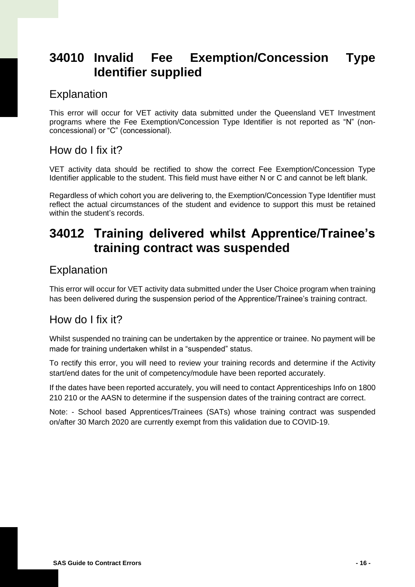# <span id="page-15-0"></span>**34010 Invalid Fee Exemption/Concession Type Identifier supplied**

### Explanation

This error will occur for VET activity data submitted under the Queensland VET Investment programs where the Fee Exemption/Concession Type Identifier is not reported as "N" (nonconcessional) or "C" (concessional).

#### How do I fix it?

VET activity data should be rectified to show the correct Fee Exemption/Concession Type Identifier applicable to the student. This field must have either N or C and cannot be left blank.

Regardless of which cohort you are delivering to, the Exemption/Concession Type Identifier must reflect the actual circumstances of the student and evidence to support this must be retained within the student's records.

# <span id="page-15-1"></span>**34012 Training delivered whilst Apprentice/Trainee's training contract was suspended**

### Explanation

This error will occur for VET activity data submitted under the User Choice program when training has been delivered during the suspension period of the Apprentice/Trainee's training contract.

#### How do I fix it?

Whilst suspended no training can be undertaken by the apprentice or trainee. No payment will be made for training undertaken whilst in a "suspended" status.

To rectify this error, you will need to review your training records and determine if the Activity start/end dates for the unit of competency/module have been reported accurately.

If the dates have been reported accurately, you will need to contact Apprenticeships Info on 1800 210 210 or the AASN to determine if the suspension dates of the training contract are correct.

Note: - School based Apprentices/Trainees (SATs) whose training contract was suspended on/after 30 March 2020 are currently exempt from this validation due to COVID-19.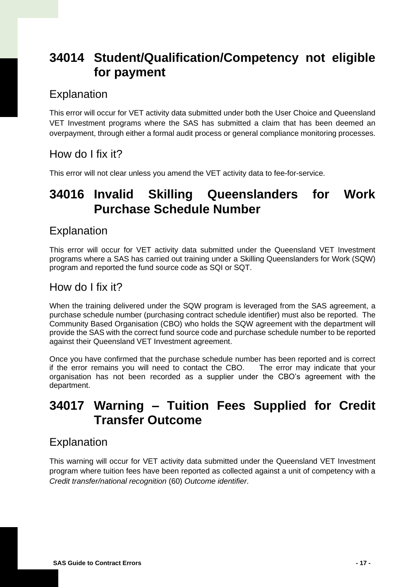# <span id="page-16-0"></span>**34014 Student/Qualification/Competency not eligible for payment**

### Explanation

This error will occur for VET activity data submitted under both the User Choice and Queensland VET Investment programs where the SAS has submitted a claim that has been deemed an overpayment, through either a formal audit process or general compliance monitoring processes.

### How do I fix it?

This error will not clear unless you amend the VET activity data to fee-for-service.

# <span id="page-16-1"></span>**34016 Invalid Skilling Queenslanders for Work Purchase Schedule Number**

#### Explanation

This error will occur for VET activity data submitted under the Queensland VET Investment programs where a SAS has carried out training under a Skilling Queenslanders for Work (SQW) program and reported the fund source code as SQI or SQT.

### How do I fix it?

When the training delivered under the SQW program is leveraged from the SAS agreement, a purchase schedule number (purchasing contract schedule identifier) must also be reported. The Community Based Organisation (CBO) who holds the SQW agreement with the department will provide the SAS with the correct fund source code and purchase schedule number to be reported against their Queensland VET Investment agreement.

Once you have confirmed that the purchase schedule number has been reported and is correct if the error remains you will need to contact the CBO. The error may indicate that your organisation has not been recorded as a supplier under the CBO's agreement with the department.

# <span id="page-16-2"></span>**34017 Warning – Tuition Fees Supplied for Credit Transfer Outcome**

### Explanation

This warning will occur for VET activity data submitted under the Queensland VET Investment program where tuition fees have been reported as collected against a unit of competency with a *Credit transfer/national recognition* (60) *Outcome identifier*.